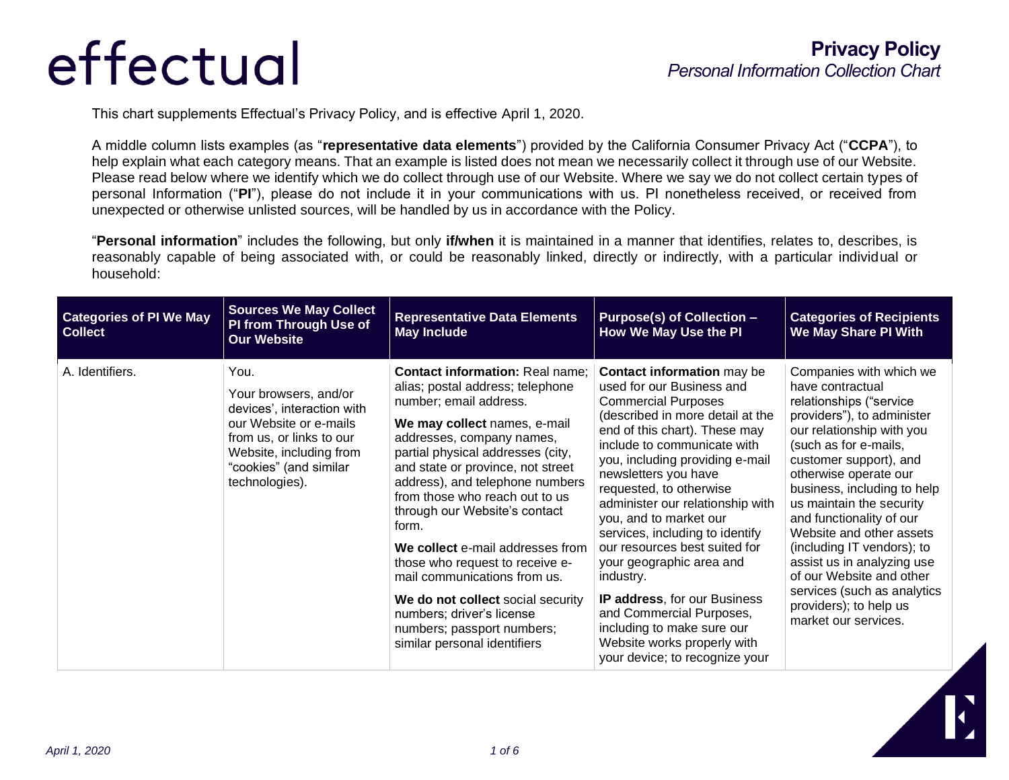This chart supplements Effectual's Privacy Policy, and is effective April 1, 2020.

A middle column lists examples (as "**representative data elements**") provided by the California Consumer Privacy Act ("**CCPA**"), to help explain what each category means. That an example is listed does not mean we necessarily collect it through use of our Website. Please read below where we identify which we do collect through use of our Website. Where we say we do not collect certain types of personal Information ("**PI**"), please do not include it in your communications with us. PI nonetheless received, or received from unexpected or otherwise unlisted sources, will be handled by us in accordance with the Policy.

"**Personal information**" includes the following, but only **if/when** it is maintained in a manner that identifies, relates to, describes, is reasonably capable of being associated with, or could be reasonably linked, directly or indirectly, with a particular individual or household:

| <b>Categories of PI We May</b><br><b>Collect</b> | <b>Sources We May Collect</b><br>PI from Through Use of<br><b>Our Website</b>                                                                                                            | <b>Representative Data Elements</b><br><b>May Include</b>                                                                                                                                                                                                                                                                                                                                                                                                                                                                                                                                         | <b>Purpose(s) of Collection -</b><br>How We May Use the PI                                                                                                                                                                                                                                                                                                                                                                                                                                                                                                                                                                   | <b>Categories of Recipients</b><br>We May Share PI With                                                                                                                                                                                                                                                                                                                                                                                                                                                   |
|--------------------------------------------------|------------------------------------------------------------------------------------------------------------------------------------------------------------------------------------------|---------------------------------------------------------------------------------------------------------------------------------------------------------------------------------------------------------------------------------------------------------------------------------------------------------------------------------------------------------------------------------------------------------------------------------------------------------------------------------------------------------------------------------------------------------------------------------------------------|------------------------------------------------------------------------------------------------------------------------------------------------------------------------------------------------------------------------------------------------------------------------------------------------------------------------------------------------------------------------------------------------------------------------------------------------------------------------------------------------------------------------------------------------------------------------------------------------------------------------------|-----------------------------------------------------------------------------------------------------------------------------------------------------------------------------------------------------------------------------------------------------------------------------------------------------------------------------------------------------------------------------------------------------------------------------------------------------------------------------------------------------------|
| A. Identifiers.                                  | You.<br>Your browsers, and/or<br>devices', interaction with<br>our Website or e-mails<br>from us, or links to our<br>Website, including from<br>"cookies" (and similar<br>technologies). | <b>Contact information: Real name:</b><br>alias; postal address; telephone<br>number; email address.<br>We may collect names, e-mail<br>addresses, company names,<br>partial physical addresses (city,<br>and state or province, not street<br>address), and telephone numbers<br>from those who reach out to us<br>through our Website's contact<br>form.<br>We collect e-mail addresses from<br>those who request to receive e-<br>mail communications from us.<br>We do not collect social security<br>numbers; driver's license<br>numbers; passport numbers;<br>similar personal identifiers | <b>Contact information may be</b><br>used for our Business and<br><b>Commercial Purposes</b><br>(described in more detail at the<br>end of this chart). These may<br>include to communicate with<br>you, including providing e-mail<br>newsletters you have<br>requested, to otherwise<br>administer our relationship with<br>you, and to market our<br>services, including to identify<br>our resources best suited for<br>your geographic area and<br>industry.<br>IP address, for our Business<br>and Commercial Purposes,<br>including to make sure our<br>Website works properly with<br>your device; to recognize your | Companies with which we<br>have contractual<br>relationships ("service<br>providers"), to administer<br>our relationship with you<br>(such as for e-mails,<br>customer support), and<br>otherwise operate our<br>business, including to help<br>us maintain the security<br>and functionality of our<br>Website and other assets<br>(including IT vendors); to<br>assist us in analyzing use<br>of our Website and other<br>services (such as analytics<br>providers); to help us<br>market our services. |

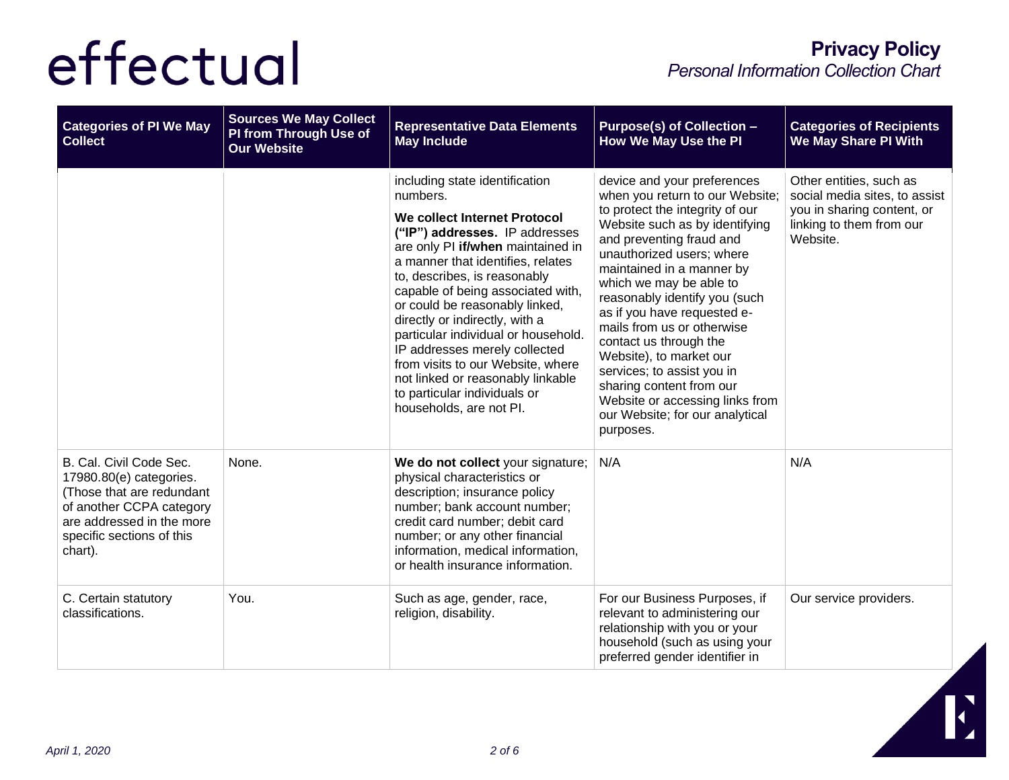| <b>Categories of PI We May</b><br><b>Collect</b>                                                                                                                                 | <b>Sources We May Collect</b><br>PI from Through Use of<br><b>Our Website</b> | <b>Representative Data Elements</b><br><b>May Include</b>                                                                                                                                                                                                                                                                                                                                                                                                                                                                                    | <b>Purpose(s) of Collection -</b><br><b>How We May Use the PI</b>                                                                                                                                                                                                                                                                                                                                                                                                                                                                                    | <b>Categories of Recipients</b><br>We May Share PI With                                                                        |
|----------------------------------------------------------------------------------------------------------------------------------------------------------------------------------|-------------------------------------------------------------------------------|----------------------------------------------------------------------------------------------------------------------------------------------------------------------------------------------------------------------------------------------------------------------------------------------------------------------------------------------------------------------------------------------------------------------------------------------------------------------------------------------------------------------------------------------|------------------------------------------------------------------------------------------------------------------------------------------------------------------------------------------------------------------------------------------------------------------------------------------------------------------------------------------------------------------------------------------------------------------------------------------------------------------------------------------------------------------------------------------------------|--------------------------------------------------------------------------------------------------------------------------------|
|                                                                                                                                                                                  |                                                                               | including state identification<br>numbers.<br>We collect Internet Protocol<br>("IP") addresses. IP addresses<br>are only PI if/when maintained in<br>a manner that identifies, relates<br>to, describes, is reasonably<br>capable of being associated with,<br>or could be reasonably linked,<br>directly or indirectly, with a<br>particular individual or household.<br>IP addresses merely collected<br>from visits to our Website, where<br>not linked or reasonably linkable<br>to particular individuals or<br>households, are not Pl. | device and your preferences<br>when you return to our Website;<br>to protect the integrity of our<br>Website such as by identifying<br>and preventing fraud and<br>unauthorized users; where<br>maintained in a manner by<br>which we may be able to<br>reasonably identify you (such<br>as if you have requested e-<br>mails from us or otherwise<br>contact us through the<br>Website), to market our<br>services; to assist you in<br>sharing content from our<br>Website or accessing links from<br>our Website; for our analytical<br>purposes. | Other entities, such as<br>social media sites, to assist<br>you in sharing content, or<br>linking to them from our<br>Website. |
| B. Cal. Civil Code Sec.<br>17980.80(e) categories.<br>(Those that are redundant<br>of another CCPA category<br>are addressed in the more<br>specific sections of this<br>chart). | None.                                                                         | We do not collect your signature;<br>physical characteristics or<br>description; insurance policy<br>number; bank account number;<br>credit card number; debit card<br>number; or any other financial<br>information, medical information,<br>or health insurance information.                                                                                                                                                                                                                                                               | N/A                                                                                                                                                                                                                                                                                                                                                                                                                                                                                                                                                  | N/A                                                                                                                            |
| C. Certain statutory<br>classifications.                                                                                                                                         | You.                                                                          | Such as age, gender, race,<br>religion, disability.                                                                                                                                                                                                                                                                                                                                                                                                                                                                                          | For our Business Purposes, if<br>relevant to administering our<br>relationship with you or your<br>household (such as using your<br>preferred gender identifier in                                                                                                                                                                                                                                                                                                                                                                                   | Our service providers.                                                                                                         |

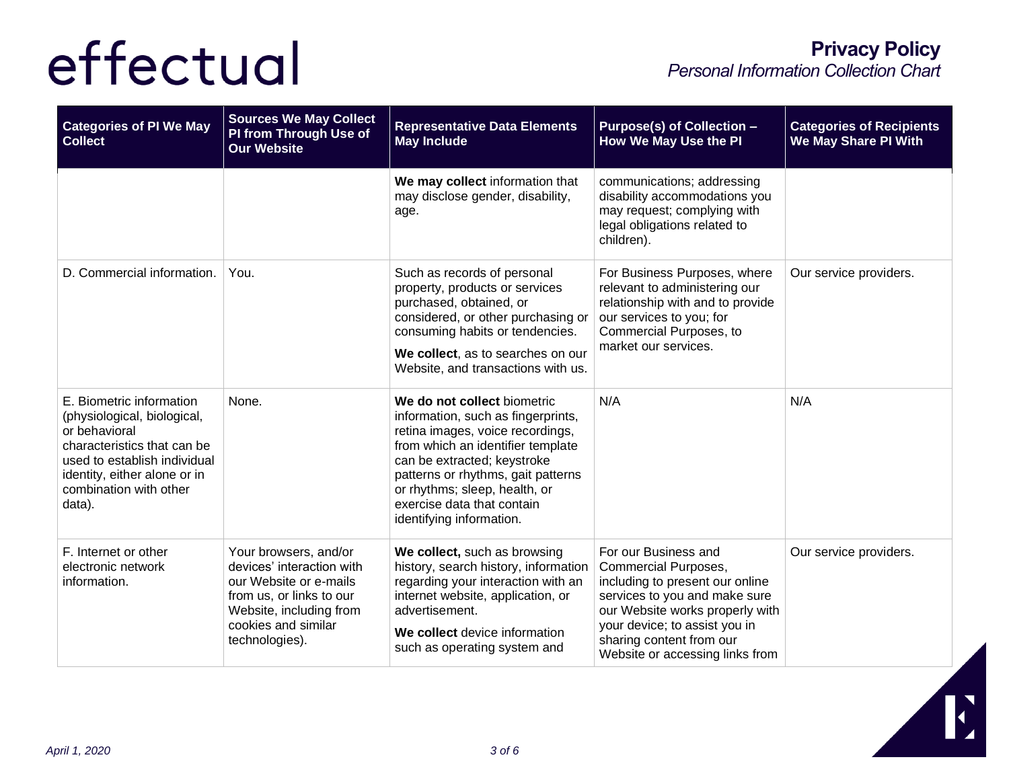| <b>Categories of PI We May</b><br><b>Collect</b>                                                                                                                                                            | <b>Sources We May Collect</b><br>PI from Through Use of<br><b>Our Website</b>                                                                                                | <b>Representative Data Elements</b><br><b>May Include</b>                                                                                                                                                                                                                                                  | <b>Purpose(s) of Collection -</b><br>How We May Use the PI                                                                                                                                                                                                 | <b>Categories of Recipients</b><br>We May Share PI With |
|-------------------------------------------------------------------------------------------------------------------------------------------------------------------------------------------------------------|------------------------------------------------------------------------------------------------------------------------------------------------------------------------------|------------------------------------------------------------------------------------------------------------------------------------------------------------------------------------------------------------------------------------------------------------------------------------------------------------|------------------------------------------------------------------------------------------------------------------------------------------------------------------------------------------------------------------------------------------------------------|---------------------------------------------------------|
|                                                                                                                                                                                                             |                                                                                                                                                                              | We may collect information that<br>may disclose gender, disability,<br>age.                                                                                                                                                                                                                                | communications; addressing<br>disability accommodations you<br>may request; complying with<br>legal obligations related to<br>children).                                                                                                                   |                                                         |
| D. Commercial information.                                                                                                                                                                                  | You.                                                                                                                                                                         | Such as records of personal<br>property, products or services<br>purchased, obtained, or<br>considered, or other purchasing or<br>consuming habits or tendencies.<br>We collect, as to searches on our<br>Website, and transactions with us.                                                               | For Business Purposes, where<br>relevant to administering our<br>relationship with and to provide<br>our services to you; for<br>Commercial Purposes, to<br>market our services.                                                                           | Our service providers.                                  |
| E. Biometric information<br>(physiological, biological,<br>or behavioral<br>characteristics that can be<br>used to establish individual<br>identity, either alone or in<br>combination with other<br>data). | None.                                                                                                                                                                        | We do not collect biometric<br>information, such as fingerprints,<br>retina images, voice recordings,<br>from which an identifier template<br>can be extracted; keystroke<br>patterns or rhythms, gait patterns<br>or rhythms; sleep, health, or<br>exercise data that contain<br>identifying information. | N/A                                                                                                                                                                                                                                                        | N/A                                                     |
| F. Internet or other<br>electronic network<br>information.                                                                                                                                                  | Your browsers, and/or<br>devices' interaction with<br>our Website or e-mails<br>from us, or links to our<br>Website, including from<br>cookies and similar<br>technologies). | We collect, such as browsing<br>history, search history, information<br>regarding your interaction with an<br>internet website, application, or<br>advertisement.<br>We collect device information<br>such as operating system and                                                                         | For our Business and<br><b>Commercial Purposes,</b><br>including to present our online<br>services to you and make sure<br>our Website works properly with<br>your device; to assist you in<br>sharing content from our<br>Website or accessing links from | Our service providers.                                  |

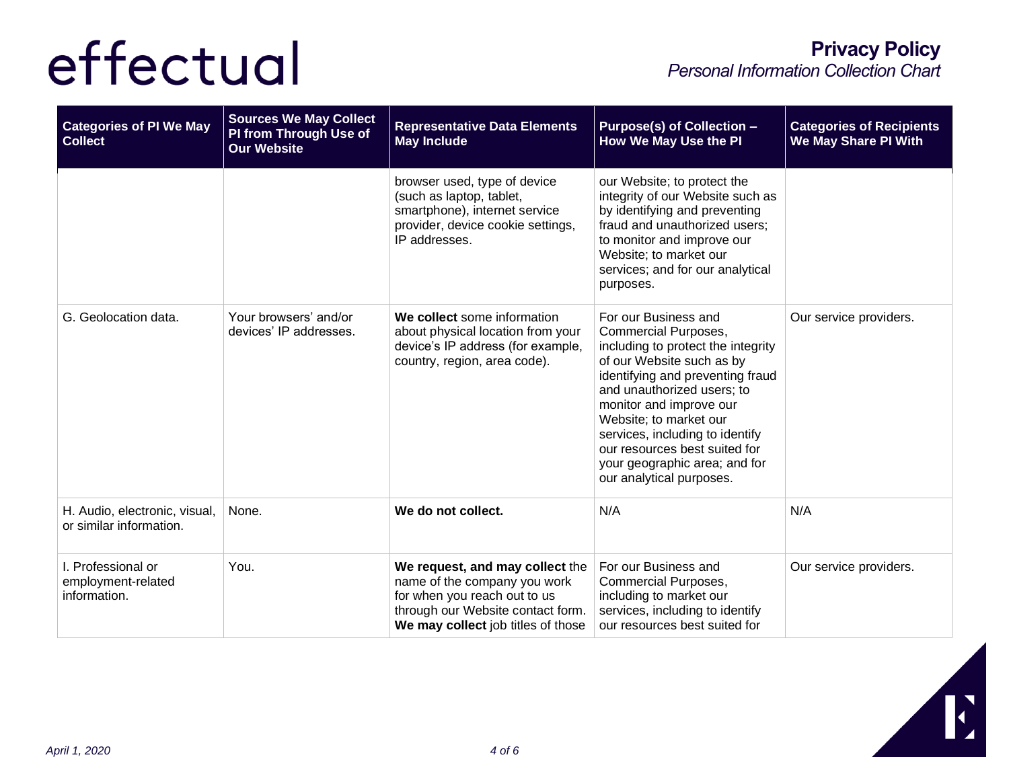| <b>Categories of PI We May</b><br><b>Collect</b>         | <b>Sources We May Collect</b><br>PI from Through Use of<br><b>Our Website</b> | <b>Representative Data Elements</b><br><b>May Include</b>                                                                                                                  | <b>Purpose(s) of Collection -</b><br><b>How We May Use the PI</b>                                                                                                                                                                                                                                                                                                       | <b>Categories of Recipients</b><br><b>We May Share PI With</b> |
|----------------------------------------------------------|-------------------------------------------------------------------------------|----------------------------------------------------------------------------------------------------------------------------------------------------------------------------|-------------------------------------------------------------------------------------------------------------------------------------------------------------------------------------------------------------------------------------------------------------------------------------------------------------------------------------------------------------------------|----------------------------------------------------------------|
|                                                          |                                                                               | browser used, type of device<br>(such as laptop, tablet,<br>smartphone), internet service<br>provider, device cookie settings,<br>IP addresses.                            | our Website; to protect the<br>integrity of our Website such as<br>by identifying and preventing<br>fraud and unauthorized users;<br>to monitor and improve our<br>Website; to market our<br>services; and for our analytical<br>purposes.                                                                                                                              |                                                                |
| G. Geolocation data.                                     | Your browsers' and/or<br>devices' IP addresses.                               | We collect some information<br>about physical location from your<br>device's IP address (for example,<br>country, region, area code).                                      | For our Business and<br>Commercial Purposes,<br>including to protect the integrity<br>of our Website such as by<br>identifying and preventing fraud<br>and unauthorized users; to<br>monitor and improve our<br>Website; to market our<br>services, including to identify<br>our resources best suited for<br>your geographic area; and for<br>our analytical purposes. | Our service providers.                                         |
| H. Audio, electronic, visual,<br>or similar information. | None.                                                                         | We do not collect.                                                                                                                                                         | N/A                                                                                                                                                                                                                                                                                                                                                                     | N/A                                                            |
| I. Professional or<br>employment-related<br>information. | You.                                                                          | We request, and may collect the<br>name of the company you work<br>for when you reach out to us<br>through our Website contact form.<br>We may collect job titles of those | For our Business and<br>Commercial Purposes,<br>including to market our<br>services, including to identify<br>our resources best suited for                                                                                                                                                                                                                             | Our service providers.                                         |

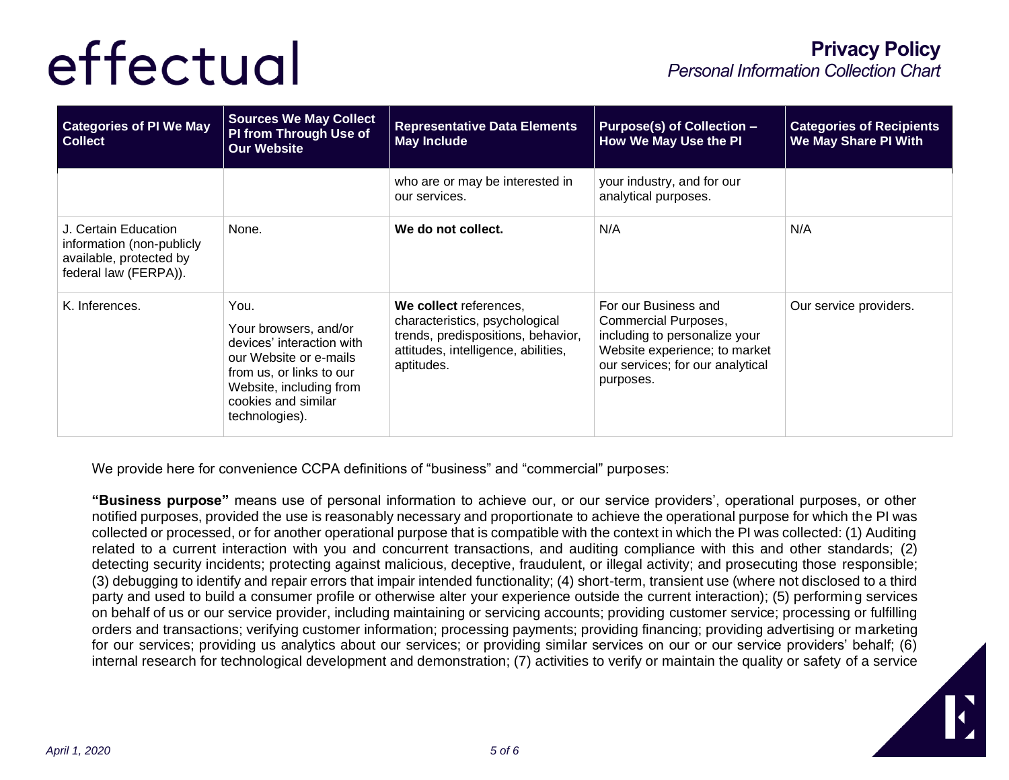| <b>Categories of PI We May</b><br><b>Collect</b>                                                      | <b>Sources We May Collect</b><br>PI from Through Use of<br><b>Our Website</b>                                                                                                        | <b>Representative Data Elements</b><br><b>May Include</b>                                                                                           | <b>Purpose(s) of Collection -</b><br>How We May Use the PI                                                                                                      | <b>Categories of Recipients</b><br>We May Share PI With |
|-------------------------------------------------------------------------------------------------------|--------------------------------------------------------------------------------------------------------------------------------------------------------------------------------------|-----------------------------------------------------------------------------------------------------------------------------------------------------|-----------------------------------------------------------------------------------------------------------------------------------------------------------------|---------------------------------------------------------|
|                                                                                                       |                                                                                                                                                                                      | who are or may be interested in<br>our services.                                                                                                    | your industry, and for our<br>analytical purposes.                                                                                                              |                                                         |
| J. Certain Education<br>information (non-publicly<br>available, protected by<br>federal law (FERPA)). | None.                                                                                                                                                                                | We do not collect.                                                                                                                                  | N/A                                                                                                                                                             | N/A                                                     |
| K. Inferences.                                                                                        | You.<br>Your browsers, and/or<br>devices' interaction with<br>our Website or e-mails<br>from us, or links to our<br>Website, including from<br>cookies and similar<br>technologies). | We collect references,<br>characteristics, psychological<br>trends, predispositions, behavior,<br>attitudes, intelligence, abilities,<br>aptitudes. | For our Business and<br>Commercial Purposes,<br>including to personalize your<br>Website experience; to market<br>our services; for our analytical<br>purposes. | Our service providers.                                  |

We provide here for convenience CCPA definitions of "business" and "commercial" purposes:

**"Business purpose"** means use of personal information to achieve our, or our service providers', operational purposes, or other notified purposes, provided the use is reasonably necessary and proportionate to achieve the operational purpose for which the PI was collected or processed, or for another operational purpose that is compatible with the context in which the PI was collected: (1) Auditing related to a current interaction with you and concurrent transactions, and auditing compliance with this and other standards; (2) detecting security incidents; protecting against malicious, deceptive, fraudulent, or illegal activity; and prosecuting those responsible; (3) debugging to identify and repair errors that impair intended functionality; (4) short-term, transient use (where not disclosed to a third party and used to build a consumer profile or otherwise alter your experience outside the current interaction); (5) performing services on behalf of us or our service provider, including maintaining or servicing accounts; providing customer service; processing or fulfilling orders and transactions; verifying customer information; processing payments; providing financing; providing advertising or marketing for our services; providing us analytics about our services; or providing similar services on our or our service providers' behalf; (6) internal research for technological development and demonstration; (7) activities to verify or maintain the quality or safety of a service